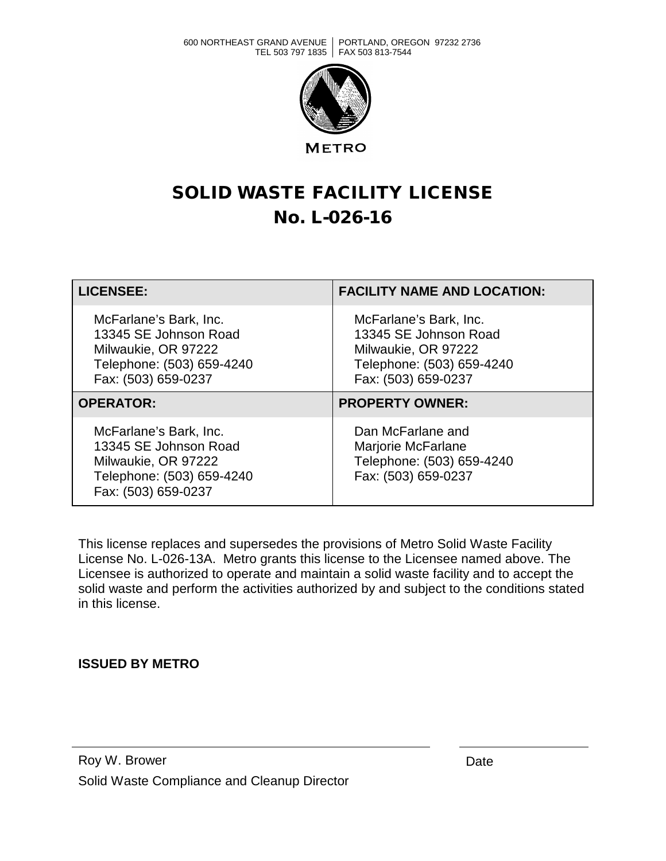600 NORTHEAST GRAND AVENUE PORTLAND, OREGON 97232 2736 TEL 503 797 1835 | FAX 503 813-7544



**METRO** 

## SOLID WASTE FACILITY LICENSE No. L-026-16

| <b>LICENSEE:</b>                                                                                                           | <b>FACILITY NAME AND LOCATION:</b>                                                                                         |
|----------------------------------------------------------------------------------------------------------------------------|----------------------------------------------------------------------------------------------------------------------------|
| McFarlane's Bark, Inc.<br>13345 SE Johnson Road<br>Milwaukie, OR 97222<br>Telephone: (503) 659-4240<br>Fax: (503) 659-0237 | McFarlane's Bark, Inc.<br>13345 SE Johnson Road<br>Milwaukie, OR 97222<br>Telephone: (503) 659-4240<br>Fax: (503) 659-0237 |
| <b>OPERATOR:</b>                                                                                                           | <b>PROPERTY OWNER:</b>                                                                                                     |
| McFarlane's Bark, Inc.<br>13345 SE Johnson Road<br>Milwaukie, OR 97222<br>Telephone: (503) 659-4240<br>Fax: (503) 659-0237 | Dan McFarlane and<br>Marjorie McFarlane<br>Telephone: (503) 659-4240<br>Fax: (503) 659-0237                                |

This license replaces and supersedes the provisions of Metro Solid Waste Facility License No. L-026-13A. Metro grants this license to the Licensee named above. The Licensee is authorized to operate and maintain a solid waste facility and to accept the solid waste and perform the activities authorized by and subject to the conditions stated in this license.

## **ISSUED BY METRO**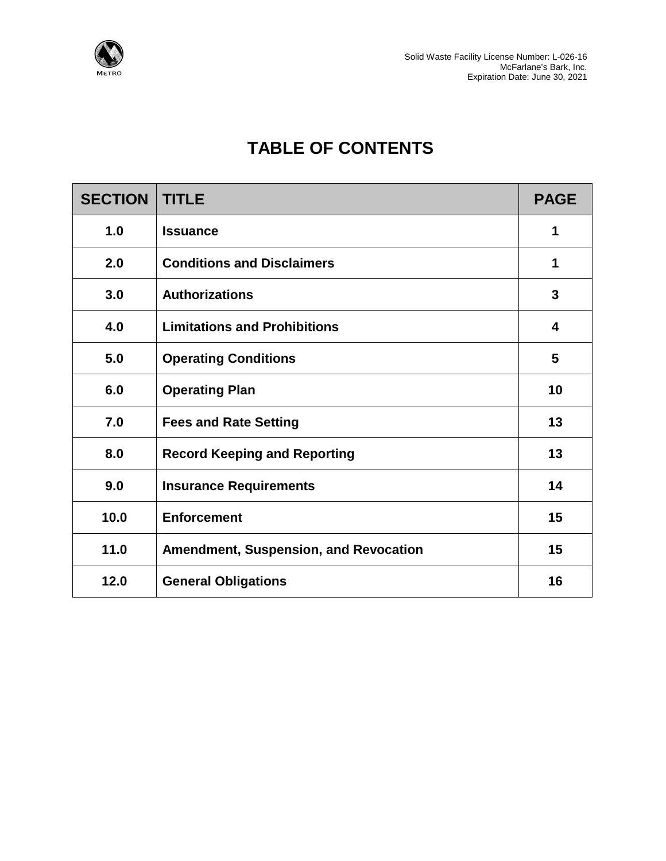

## **TABLE OF CONTENTS**

| <b>SECTION</b> | <b>TITLE</b>                                 | <b>PAGE</b> |
|----------------|----------------------------------------------|-------------|
| 1.0            | <b>Issuance</b>                              | 1           |
| 2.0            | <b>Conditions and Disclaimers</b>            | 1           |
| 3.0            | <b>Authorizations</b>                        | 3           |
| 4.0            | <b>Limitations and Prohibitions</b>          | 4           |
| 5.0            | <b>Operating Conditions</b>                  | 5           |
| 6.0            | <b>Operating Plan</b>                        | 10          |
| 7.0            | <b>Fees and Rate Setting</b>                 | 13          |
| 8.0            | <b>Record Keeping and Reporting</b>          | 13          |
| 9.0            | <b>Insurance Requirements</b>                | 14          |
| 10.0           | <b>Enforcement</b>                           | 15          |
| 11.0           | <b>Amendment, Suspension, and Revocation</b> | 15          |
| 12.0           | <b>General Obligations</b>                   | 16          |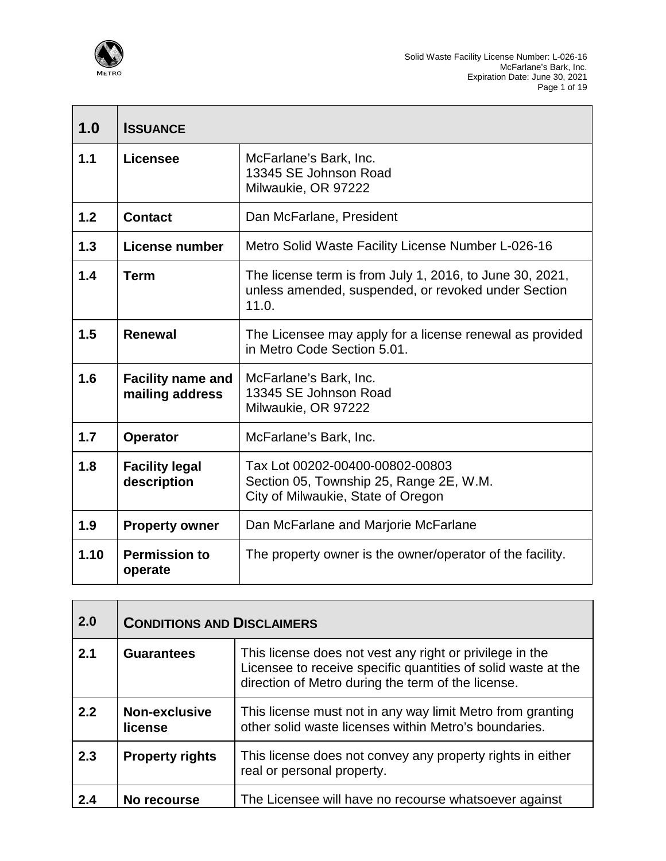

| 1.0  | <b>ISSUANCE</b>                             |                                                                                                                          |
|------|---------------------------------------------|--------------------------------------------------------------------------------------------------------------------------|
| 1.1  | Licensee                                    | McFarlane's Bark, Inc.<br>13345 SE Johnson Road<br>Milwaukie, OR 97222                                                   |
| 1.2  | <b>Contact</b>                              | Dan McFarlane, President                                                                                                 |
| 1.3  | License number                              | Metro Solid Waste Facility License Number L-026-16                                                                       |
| 1.4  | <b>Term</b>                                 | The license term is from July 1, 2016, to June 30, 2021,<br>unless amended, suspended, or revoked under Section<br>11.0. |
| 1.5  | <b>Renewal</b>                              | The Licensee may apply for a license renewal as provided<br>in Metro Code Section 5.01.                                  |
| 1.6  | <b>Facility name and</b><br>mailing address | McFarlane's Bark, Inc.<br>13345 SE Johnson Road<br>Milwaukie, OR 97222                                                   |
| 1.7  | <b>Operator</b>                             | McFarlane's Bark, Inc.                                                                                                   |
| 1.8  | <b>Facility legal</b><br>description        | Tax Lot 00202-00400-00802-00803<br>Section 05, Township 25, Range 2E, W.M.<br>City of Milwaukie, State of Oregon         |
| 1.9  | <b>Property owner</b>                       | Dan McFarlane and Marjorie McFarlane                                                                                     |
| 1.10 | <b>Permission to</b><br>operate             | The property owner is the owner/operator of the facility.                                                                |

| 2.0 | <b>CONDITIONS AND DISCLAIMERS</b> |                                                                                                                                                                                 |
|-----|-----------------------------------|---------------------------------------------------------------------------------------------------------------------------------------------------------------------------------|
| 2.1 | <b>Guarantees</b>                 | This license does not vest any right or privilege in the<br>Licensee to receive specific quantities of solid waste at the<br>direction of Metro during the term of the license. |
| 2.2 | Non-exclusive<br>license          | This license must not in any way limit Metro from granting<br>other solid waste licenses within Metro's boundaries.                                                             |
| 2.3 | <b>Property rights</b>            | This license does not convey any property rights in either<br>real or personal property.                                                                                        |
| 2.4 | No recourse                       | The Licensee will have no recourse whatsoever against                                                                                                                           |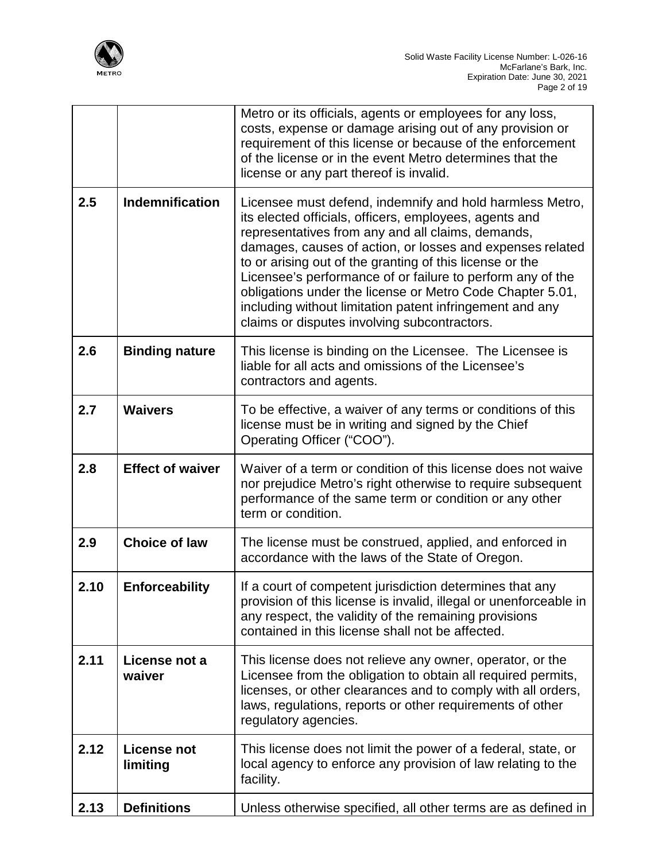

|      |                                | Metro or its officials, agents or employees for any loss,<br>costs, expense or damage arising out of any provision or<br>requirement of this license or because of the enforcement<br>of the license or in the event Metro determines that the<br>license or any part thereof is invalid.                                                                                                                                                                                                                                               |
|------|--------------------------------|-----------------------------------------------------------------------------------------------------------------------------------------------------------------------------------------------------------------------------------------------------------------------------------------------------------------------------------------------------------------------------------------------------------------------------------------------------------------------------------------------------------------------------------------|
| 2.5  | <b>Indemnification</b>         | Licensee must defend, indemnify and hold harmless Metro,<br>its elected officials, officers, employees, agents and<br>representatives from any and all claims, demands,<br>damages, causes of action, or losses and expenses related<br>to or arising out of the granting of this license or the<br>Licensee's performance of or failure to perform any of the<br>obligations under the license or Metro Code Chapter 5.01,<br>including without limitation patent infringement and any<br>claims or disputes involving subcontractors. |
| 2.6  | <b>Binding nature</b>          | This license is binding on the Licensee. The Licensee is<br>liable for all acts and omissions of the Licensee's<br>contractors and agents.                                                                                                                                                                                                                                                                                                                                                                                              |
| 2.7  | <b>Waivers</b>                 | To be effective, a waiver of any terms or conditions of this<br>license must be in writing and signed by the Chief<br>Operating Officer ("COO").                                                                                                                                                                                                                                                                                                                                                                                        |
| 2.8  | <b>Effect of waiver</b>        | Waiver of a term or condition of this license does not waive<br>nor prejudice Metro's right otherwise to require subsequent<br>performance of the same term or condition or any other<br>term or condition.                                                                                                                                                                                                                                                                                                                             |
| 2.9  | <b>Choice of law</b>           | The license must be construed, applied, and enforced in<br>accordance with the laws of the State of Oregon.                                                                                                                                                                                                                                                                                                                                                                                                                             |
| 2.10 | <b>Enforceability</b>          | If a court of competent jurisdiction determines that any<br>provision of this license is invalid, illegal or unenforceable in<br>any respect, the validity of the remaining provisions<br>contained in this license shall not be affected.                                                                                                                                                                                                                                                                                              |
| 2.11 | License not a<br>waiver        | This license does not relieve any owner, operator, or the<br>Licensee from the obligation to obtain all required permits,<br>licenses, or other clearances and to comply with all orders,<br>laws, regulations, reports or other requirements of other<br>regulatory agencies.                                                                                                                                                                                                                                                          |
| 2.12 | <b>License not</b><br>limiting | This license does not limit the power of a federal, state, or<br>local agency to enforce any provision of law relating to the<br>facility.                                                                                                                                                                                                                                                                                                                                                                                              |
| 2.13 | <b>Definitions</b>             | Unless otherwise specified, all other terms are as defined in                                                                                                                                                                                                                                                                                                                                                                                                                                                                           |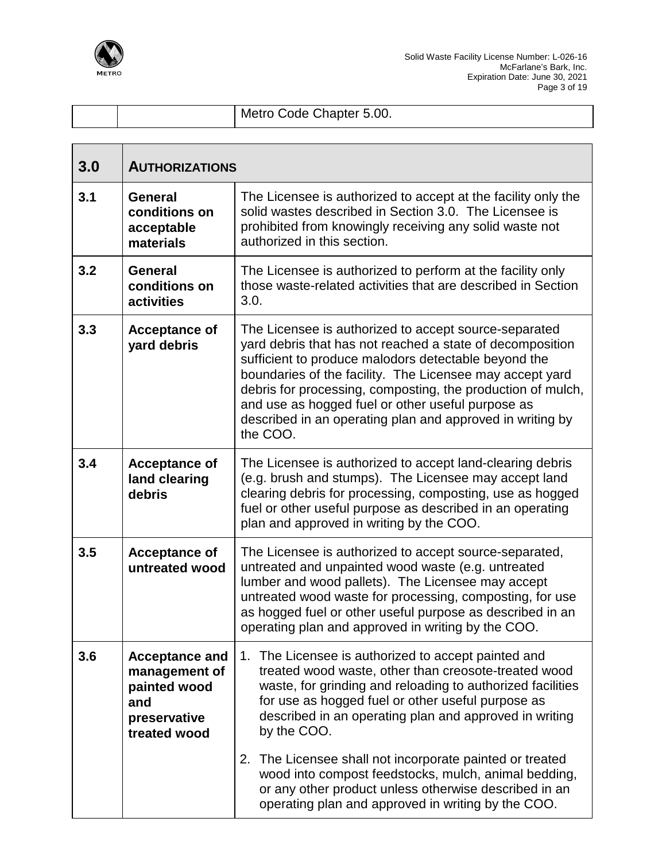

|  | Metro Code Chapter 5.00. |
|--|--------------------------|

| 3.0 | <b>AUTHORIZATIONS</b>                                                                         |                                                                                                                                                                                                                                                                                                                                                                                                                                     |  |
|-----|-----------------------------------------------------------------------------------------------|-------------------------------------------------------------------------------------------------------------------------------------------------------------------------------------------------------------------------------------------------------------------------------------------------------------------------------------------------------------------------------------------------------------------------------------|--|
| 3.1 | <b>General</b><br>conditions on<br>acceptable<br>materials                                    | The Licensee is authorized to accept at the facility only the<br>solid wastes described in Section 3.0. The Licensee is<br>prohibited from knowingly receiving any solid waste not<br>authorized in this section.                                                                                                                                                                                                                   |  |
| 3.2 | <b>General</b><br>conditions on<br>activities                                                 | The Licensee is authorized to perform at the facility only<br>those waste-related activities that are described in Section<br>3.0.                                                                                                                                                                                                                                                                                                  |  |
| 3.3 | <b>Acceptance of</b><br>yard debris                                                           | The Licensee is authorized to accept source-separated<br>yard debris that has not reached a state of decomposition<br>sufficient to produce malodors detectable beyond the<br>boundaries of the facility. The Licensee may accept yard<br>debris for processing, composting, the production of mulch,<br>and use as hogged fuel or other useful purpose as<br>described in an operating plan and approved in writing by<br>the COO. |  |
| 3.4 | <b>Acceptance of</b><br>land clearing<br>debris                                               | The Licensee is authorized to accept land-clearing debris<br>(e.g. brush and stumps). The Licensee may accept land<br>clearing debris for processing, composting, use as hogged<br>fuel or other useful purpose as described in an operating<br>plan and approved in writing by the COO.                                                                                                                                            |  |
| 3.5 | <b>Acceptance of</b><br>untreated wood                                                        | The Licensee is authorized to accept source-separated,<br>untreated and unpainted wood waste (e.g. untreated<br>lumber and wood pallets). The Licensee may accept<br>untreated wood waste for processing, composting, for use<br>as hogged fuel or other useful purpose as described in an<br>operating plan and approved in writing by the COO.                                                                                    |  |
| 3.6 | <b>Acceptance and</b><br>management of<br>painted wood<br>and<br>preservative<br>treated wood | The Licensee is authorized to accept painted and<br>1.<br>treated wood waste, other than creosote-treated wood<br>waste, for grinding and reloading to authorized facilities<br>for use as hogged fuel or other useful purpose as<br>described in an operating plan and approved in writing<br>by the COO.                                                                                                                          |  |
|     |                                                                                               | The Licensee shall not incorporate painted or treated<br>2.<br>wood into compost feedstocks, mulch, animal bedding,<br>or any other product unless otherwise described in an<br>operating plan and approved in writing by the COO.                                                                                                                                                                                                  |  |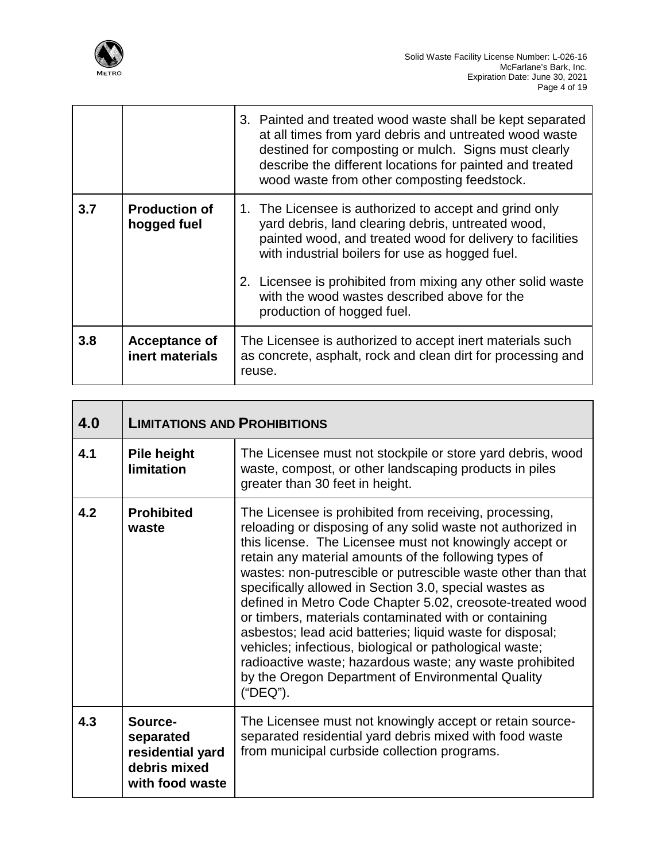

 $\overline{\mathsf{T}}$ 

 $\mathbf{r}$ 

Г

Т

|     |                                         | 3. Painted and treated wood waste shall be kept separated<br>at all times from yard debris and untreated wood waste<br>destined for composting or mulch. Signs must clearly<br>describe the different locations for painted and treated<br>wood waste from other composting feedstock.                                                                                    |
|-----|-----------------------------------------|---------------------------------------------------------------------------------------------------------------------------------------------------------------------------------------------------------------------------------------------------------------------------------------------------------------------------------------------------------------------------|
| 3.7 | <b>Production of</b><br>hogged fuel     | 1. The Licensee is authorized to accept and grind only<br>yard debris, land clearing debris, untreated wood,<br>painted wood, and treated wood for delivery to facilities<br>with industrial boilers for use as hogged fuel.<br>2. Licensee is prohibited from mixing any other solid waste<br>with the wood wastes described above for the<br>production of hogged fuel. |
| 3.8 | <b>Acceptance of</b><br>inert materials | The Licensee is authorized to accept inert materials such<br>as concrete, asphalt, rock and clean dirt for processing and<br>reuse.                                                                                                                                                                                                                                       |

| 4.0 | <b>LIMITATIONS AND PROHIBITIONS</b>                                         |                                                                                                                                                                                                                                                                                                                                                                                                                                                                                                                                                                                                                                                                                                                                                |  |
|-----|-----------------------------------------------------------------------------|------------------------------------------------------------------------------------------------------------------------------------------------------------------------------------------------------------------------------------------------------------------------------------------------------------------------------------------------------------------------------------------------------------------------------------------------------------------------------------------------------------------------------------------------------------------------------------------------------------------------------------------------------------------------------------------------------------------------------------------------|--|
| 4.1 | <b>Pile height</b><br>limitation                                            | The Licensee must not stockpile or store yard debris, wood<br>waste, compost, or other landscaping products in piles<br>greater than 30 feet in height.                                                                                                                                                                                                                                                                                                                                                                                                                                                                                                                                                                                        |  |
| 4.2 | <b>Prohibited</b><br>waste                                                  | The Licensee is prohibited from receiving, processing,<br>reloading or disposing of any solid waste not authorized in<br>this license. The Licensee must not knowingly accept or<br>retain any material amounts of the following types of<br>wastes: non-putrescible or putrescible waste other than that<br>specifically allowed in Section 3.0, special wastes as<br>defined in Metro Code Chapter 5.02, creosote-treated wood<br>or timbers, materials contaminated with or containing<br>asbestos; lead acid batteries; liquid waste for disposal;<br>vehicles; infectious, biological or pathological waste;<br>radioactive waste; hazardous waste; any waste prohibited<br>by the Oregon Department of Environmental Quality<br>("DEQ"). |  |
| 4.3 | Source-<br>separated<br>residential yard<br>debris mixed<br>with food waste | The Licensee must not knowingly accept or retain source-<br>separated residential yard debris mixed with food waste<br>from municipal curbside collection programs.                                                                                                                                                                                                                                                                                                                                                                                                                                                                                                                                                                            |  |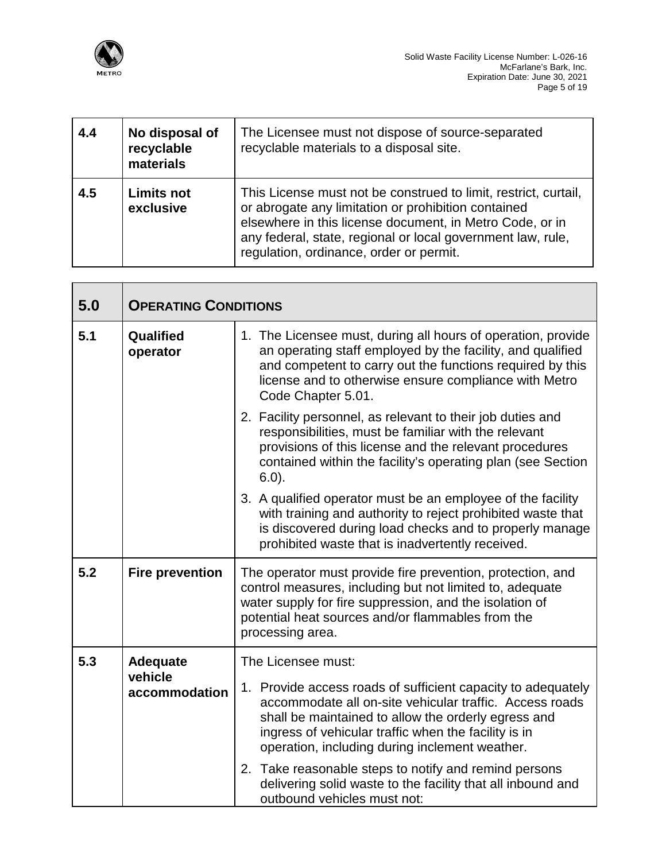

| 4.4 | No disposal of<br>recyclable<br>materials | The Licensee must not dispose of source-separated<br>recyclable materials to a disposal site.                                                                                                                                                                                                |
|-----|-------------------------------------------|----------------------------------------------------------------------------------------------------------------------------------------------------------------------------------------------------------------------------------------------------------------------------------------------|
| 4.5 | <b>Limits not</b><br>exclusive            | This License must not be construed to limit, restrict, curtail,<br>or abrogate any limitation or prohibition contained<br>elsewhere in this license document, in Metro Code, or in<br>any federal, state, regional or local government law, rule,<br>regulation, ordinance, order or permit. |

| 5.0 | <b>OPERATING CONDITIONS</b> |                                                                                                                                                                                                                                                                                          |  |
|-----|-----------------------------|------------------------------------------------------------------------------------------------------------------------------------------------------------------------------------------------------------------------------------------------------------------------------------------|--|
| 5.1 | Qualified<br>operator       | 1. The Licensee must, during all hours of operation, provide<br>an operating staff employed by the facility, and qualified<br>and competent to carry out the functions required by this<br>license and to otherwise ensure compliance with Metro<br>Code Chapter 5.01.                   |  |
|     |                             | 2. Facility personnel, as relevant to their job duties and<br>responsibilities, must be familiar with the relevant<br>provisions of this license and the relevant procedures<br>contained within the facility's operating plan (see Section<br>$6.0$ ).                                  |  |
|     |                             | 3. A qualified operator must be an employee of the facility<br>with training and authority to reject prohibited waste that<br>is discovered during load checks and to properly manage<br>prohibited waste that is inadvertently received.                                                |  |
| 5.2 | <b>Fire prevention</b>      | The operator must provide fire prevention, protection, and<br>control measures, including but not limited to, adequate<br>water supply for fire suppression, and the isolation of<br>potential heat sources and/or flammables from the<br>processing area.                               |  |
| 5.3 | <b>Adequate</b>             | The Licensee must:                                                                                                                                                                                                                                                                       |  |
|     | vehicle<br>accommodation    | 1. Provide access roads of sufficient capacity to adequately<br>accommodate all on-site vehicular traffic. Access roads<br>shall be maintained to allow the orderly egress and<br>ingress of vehicular traffic when the facility is in<br>operation, including during inclement weather. |  |
|     |                             | 2. Take reasonable steps to notify and remind persons<br>delivering solid waste to the facility that all inbound and<br>outbound vehicles must not:                                                                                                                                      |  |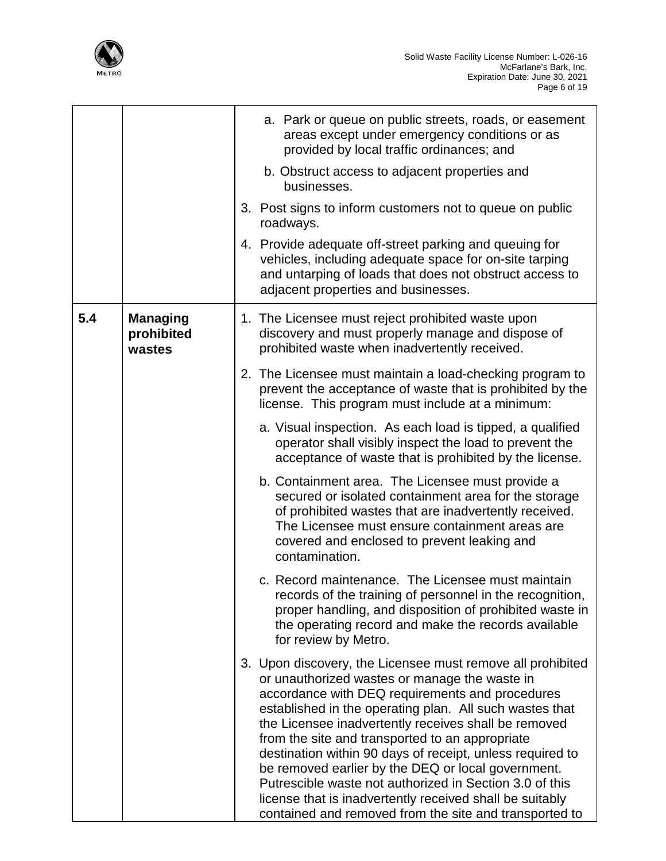

Ī

|     |                                         | a. Park or queue on public streets, roads, or easement<br>areas except under emergency conditions or as<br>provided by local traffic ordinances; and                                                                                                                                                                                                                                                                                                                                                                                                                                                                                     |
|-----|-----------------------------------------|------------------------------------------------------------------------------------------------------------------------------------------------------------------------------------------------------------------------------------------------------------------------------------------------------------------------------------------------------------------------------------------------------------------------------------------------------------------------------------------------------------------------------------------------------------------------------------------------------------------------------------------|
|     |                                         | b. Obstruct access to adjacent properties and<br>businesses.                                                                                                                                                                                                                                                                                                                                                                                                                                                                                                                                                                             |
|     |                                         | 3. Post signs to inform customers not to queue on public<br>roadways.                                                                                                                                                                                                                                                                                                                                                                                                                                                                                                                                                                    |
|     |                                         | 4. Provide adequate off-street parking and queuing for<br>vehicles, including adequate space for on-site tarping<br>and untarping of loads that does not obstruct access to<br>adjacent properties and businesses.                                                                                                                                                                                                                                                                                                                                                                                                                       |
| 5.4 | <b>Managing</b><br>prohibited<br>wastes | 1. The Licensee must reject prohibited waste upon<br>discovery and must properly manage and dispose of<br>prohibited waste when inadvertently received.                                                                                                                                                                                                                                                                                                                                                                                                                                                                                  |
|     |                                         | 2. The Licensee must maintain a load-checking program to<br>prevent the acceptance of waste that is prohibited by the<br>license. This program must include at a minimum:                                                                                                                                                                                                                                                                                                                                                                                                                                                                |
|     |                                         | a. Visual inspection. As each load is tipped, a qualified<br>operator shall visibly inspect the load to prevent the<br>acceptance of waste that is prohibited by the license.                                                                                                                                                                                                                                                                                                                                                                                                                                                            |
|     |                                         | b. Containment area. The Licensee must provide a<br>secured or isolated containment area for the storage<br>of prohibited wastes that are inadvertently received.<br>The Licensee must ensure containment areas are<br>covered and enclosed to prevent leaking and<br>contamination.                                                                                                                                                                                                                                                                                                                                                     |
|     |                                         | c. Record maintenance. The Licensee must maintain<br>records of the training of personnel in the recognition,<br>proper handling, and disposition of prohibited waste in<br>the operating record and make the records available<br>for review by Metro.                                                                                                                                                                                                                                                                                                                                                                                  |
|     |                                         | 3. Upon discovery, the Licensee must remove all prohibited<br>or unauthorized wastes or manage the waste in<br>accordance with DEQ requirements and procedures<br>established in the operating plan. All such wastes that<br>the Licensee inadvertently receives shall be removed<br>from the site and transported to an appropriate<br>destination within 90 days of receipt, unless required to<br>be removed earlier by the DEQ or local government.<br>Putrescible waste not authorized in Section 3.0 of this<br>license that is inadvertently received shall be suitably<br>contained and removed from the site and transported to |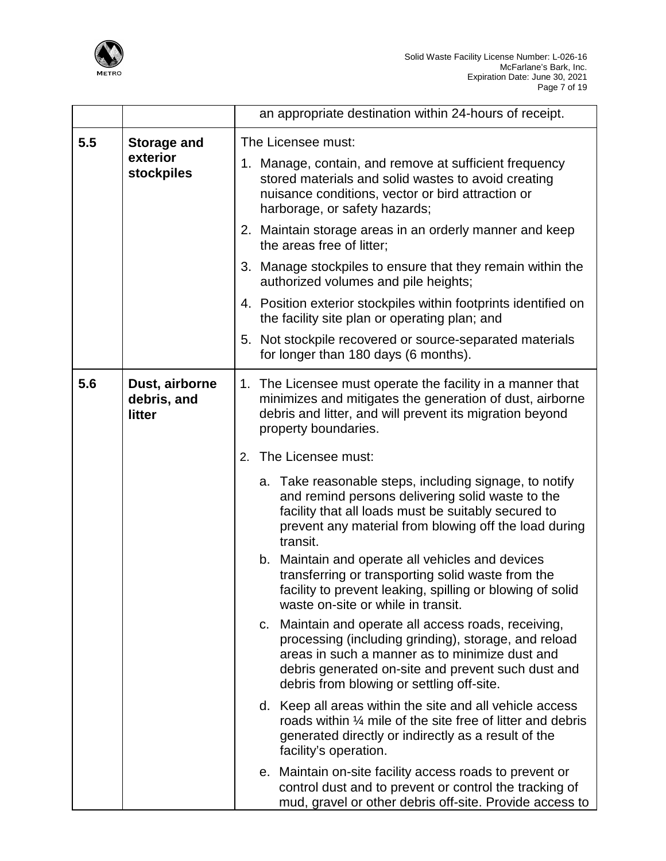

|     |                                         | an appropriate destination within 24-hours of receipt.                                                                                                                                                                                                            |
|-----|-----------------------------------------|-------------------------------------------------------------------------------------------------------------------------------------------------------------------------------------------------------------------------------------------------------------------|
| 5.5 | <b>Storage and</b>                      | The Licensee must:                                                                                                                                                                                                                                                |
|     | exterior<br>stockpiles                  | 1. Manage, contain, and remove at sufficient frequency<br>stored materials and solid wastes to avoid creating<br>nuisance conditions, vector or bird attraction or<br>harborage, or safety hazards;                                                               |
|     |                                         | 2. Maintain storage areas in an orderly manner and keep<br>the areas free of litter;                                                                                                                                                                              |
|     |                                         | 3. Manage stockpiles to ensure that they remain within the<br>authorized volumes and pile heights;                                                                                                                                                                |
|     |                                         | 4. Position exterior stockpiles within footprints identified on<br>the facility site plan or operating plan; and                                                                                                                                                  |
|     |                                         | 5. Not stockpile recovered or source-separated materials<br>for longer than 180 days (6 months).                                                                                                                                                                  |
| 5.6 | Dust, airborne<br>debris, and<br>litter | 1. The Licensee must operate the facility in a manner that<br>minimizes and mitigates the generation of dust, airborne<br>debris and litter, and will prevent its migration beyond<br>property boundaries.                                                        |
|     |                                         | The Licensee must:<br>2.                                                                                                                                                                                                                                          |
|     |                                         | a. Take reasonable steps, including signage, to notify<br>and remind persons delivering solid waste to the<br>facility that all loads must be suitably secured to<br>prevent any material from blowing off the load during<br>transit.                            |
|     |                                         | b. Maintain and operate all vehicles and devices<br>transferring or transporting solid waste from the<br>facility to prevent leaking, spilling or blowing of solid<br>waste on-site or while in transit.                                                          |
|     |                                         | c. Maintain and operate all access roads, receiving,<br>processing (including grinding), storage, and reload<br>areas in such a manner as to minimize dust and<br>debris generated on-site and prevent such dust and<br>debris from blowing or settling off-site. |
|     |                                         | d. Keep all areas within the site and all vehicle access<br>roads within 1/4 mile of the site free of litter and debris<br>generated directly or indirectly as a result of the<br>facility's operation.                                                           |
|     |                                         | e. Maintain on-site facility access roads to prevent or<br>control dust and to prevent or control the tracking of<br>mud, gravel or other debris off-site. Provide access to                                                                                      |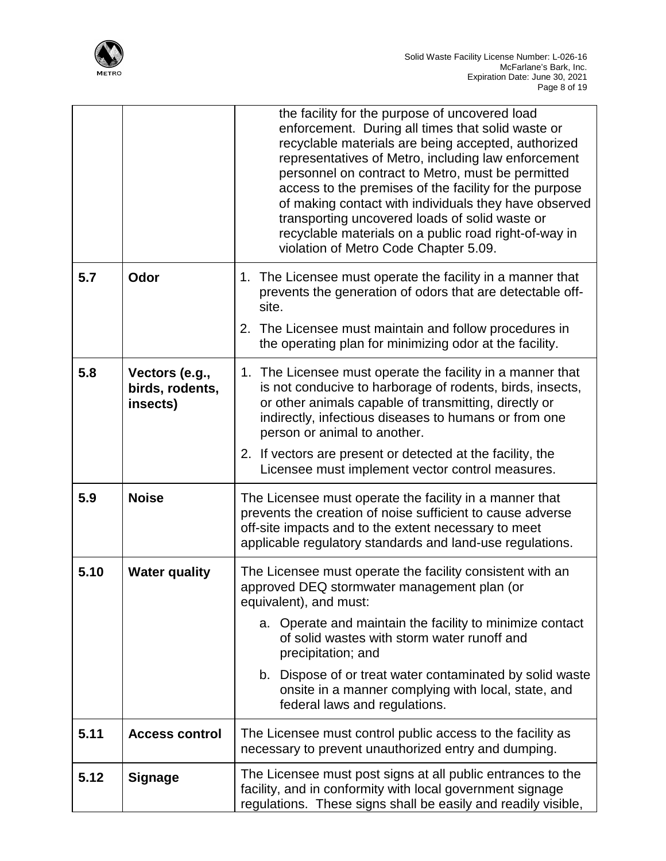

|      |                                               | the facility for the purpose of uncovered load<br>enforcement. During all times that solid waste or<br>recyclable materials are being accepted, authorized<br>representatives of Metro, including law enforcement<br>personnel on contract to Metro, must be permitted<br>access to the premises of the facility for the purpose<br>of making contact with individuals they have observed<br>transporting uncovered loads of solid waste or<br>recyclable materials on a public road right-of-way in<br>violation of Metro Code Chapter 5.09. |
|------|-----------------------------------------------|-----------------------------------------------------------------------------------------------------------------------------------------------------------------------------------------------------------------------------------------------------------------------------------------------------------------------------------------------------------------------------------------------------------------------------------------------------------------------------------------------------------------------------------------------|
| 5.7  | Odor                                          | 1. The Licensee must operate the facility in a manner that<br>prevents the generation of odors that are detectable off-<br>site.                                                                                                                                                                                                                                                                                                                                                                                                              |
|      |                                               | 2. The Licensee must maintain and follow procedures in<br>the operating plan for minimizing odor at the facility.                                                                                                                                                                                                                                                                                                                                                                                                                             |
| 5.8  | Vectors (e.g.,<br>birds, rodents,<br>insects) | 1. The Licensee must operate the facility in a manner that<br>is not conducive to harborage of rodents, birds, insects,<br>or other animals capable of transmitting, directly or<br>indirectly, infectious diseases to humans or from one<br>person or animal to another.                                                                                                                                                                                                                                                                     |
|      |                                               | 2. If vectors are present or detected at the facility, the<br>Licensee must implement vector control measures.                                                                                                                                                                                                                                                                                                                                                                                                                                |
| 5.9  | <b>Noise</b>                                  | The Licensee must operate the facility in a manner that<br>prevents the creation of noise sufficient to cause adverse<br>off-site impacts and to the extent necessary to meet<br>applicable regulatory standards and land-use regulations.                                                                                                                                                                                                                                                                                                    |
| 5.10 | <b>Water quality</b>                          | The Licensee must operate the facility consistent with an<br>approved DEQ stormwater management plan (or<br>equivalent), and must:                                                                                                                                                                                                                                                                                                                                                                                                            |
|      |                                               | a. Operate and maintain the facility to minimize contact<br>of solid wastes with storm water runoff and<br>precipitation; and                                                                                                                                                                                                                                                                                                                                                                                                                 |
|      |                                               | b. Dispose of or treat water contaminated by solid waste<br>onsite in a manner complying with local, state, and<br>federal laws and regulations.                                                                                                                                                                                                                                                                                                                                                                                              |
| 5.11 | <b>Access control</b>                         | The Licensee must control public access to the facility as<br>necessary to prevent unauthorized entry and dumping.                                                                                                                                                                                                                                                                                                                                                                                                                            |
| 5.12 | <b>Signage</b>                                | The Licensee must post signs at all public entrances to the<br>facility, and in conformity with local government signage<br>regulations. These signs shall be easily and readily visible,                                                                                                                                                                                                                                                                                                                                                     |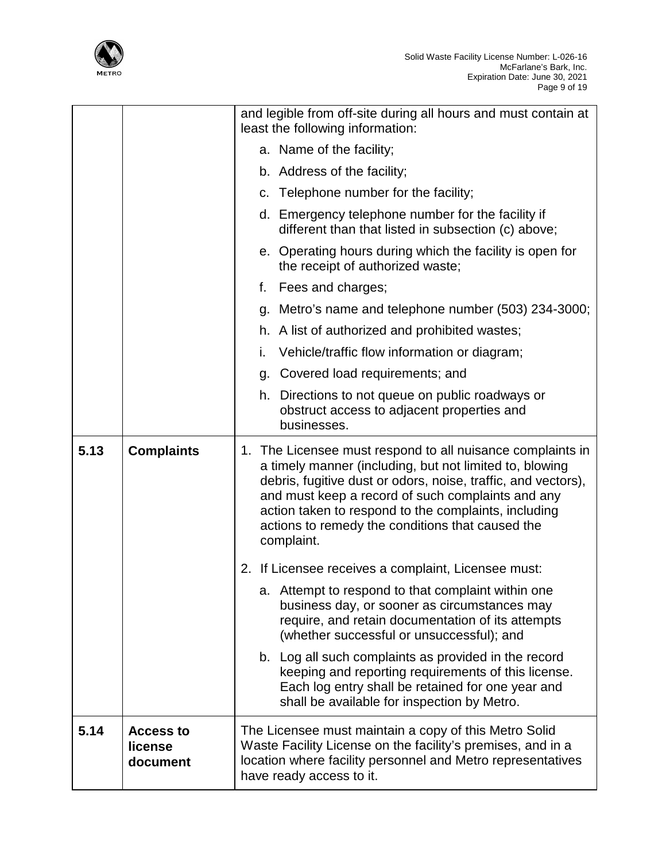

|      |                                         | and legible from off-site during all hours and must contain at<br>least the following information:                                                                                                                                                                                                                                                                    |
|------|-----------------------------------------|-----------------------------------------------------------------------------------------------------------------------------------------------------------------------------------------------------------------------------------------------------------------------------------------------------------------------------------------------------------------------|
|      |                                         | a. Name of the facility;                                                                                                                                                                                                                                                                                                                                              |
|      |                                         | b. Address of the facility;                                                                                                                                                                                                                                                                                                                                           |
|      |                                         | c. Telephone number for the facility;                                                                                                                                                                                                                                                                                                                                 |
|      |                                         | d. Emergency telephone number for the facility if<br>different than that listed in subsection (c) above;                                                                                                                                                                                                                                                              |
|      |                                         | e. Operating hours during which the facility is open for<br>the receipt of authorized waste;                                                                                                                                                                                                                                                                          |
|      |                                         | f. Fees and charges;                                                                                                                                                                                                                                                                                                                                                  |
|      |                                         | g. Metro's name and telephone number (503) 234-3000;                                                                                                                                                                                                                                                                                                                  |
|      |                                         | h. A list of authorized and prohibited wastes;                                                                                                                                                                                                                                                                                                                        |
|      |                                         | Vehicle/traffic flow information or diagram;<br>i.                                                                                                                                                                                                                                                                                                                    |
|      |                                         | g. Covered load requirements; and                                                                                                                                                                                                                                                                                                                                     |
|      |                                         | h. Directions to not queue on public roadways or<br>obstruct access to adjacent properties and<br>businesses.                                                                                                                                                                                                                                                         |
| 5.13 | <b>Complaints</b>                       | 1. The Licensee must respond to all nuisance complaints in<br>a timely manner (including, but not limited to, blowing<br>debris, fugitive dust or odors, noise, traffic, and vectors),<br>and must keep a record of such complaints and any<br>action taken to respond to the complaints, including<br>actions to remedy the conditions that caused the<br>complaint. |
|      |                                         | 2. If Licensee receives a complaint, Licensee must:                                                                                                                                                                                                                                                                                                                   |
|      |                                         | a. Attempt to respond to that complaint within one<br>business day, or sooner as circumstances may<br>require, and retain documentation of its attempts<br>(whether successful or unsuccessful); and                                                                                                                                                                  |
|      |                                         | b. Log all such complaints as provided in the record<br>keeping and reporting requirements of this license.<br>Each log entry shall be retained for one year and<br>shall be available for inspection by Metro.                                                                                                                                                       |
| 5.14 | <b>Access to</b><br>license<br>document | The Licensee must maintain a copy of this Metro Solid<br>Waste Facility License on the facility's premises, and in a<br>location where facility personnel and Metro representatives<br>have ready access to it.                                                                                                                                                       |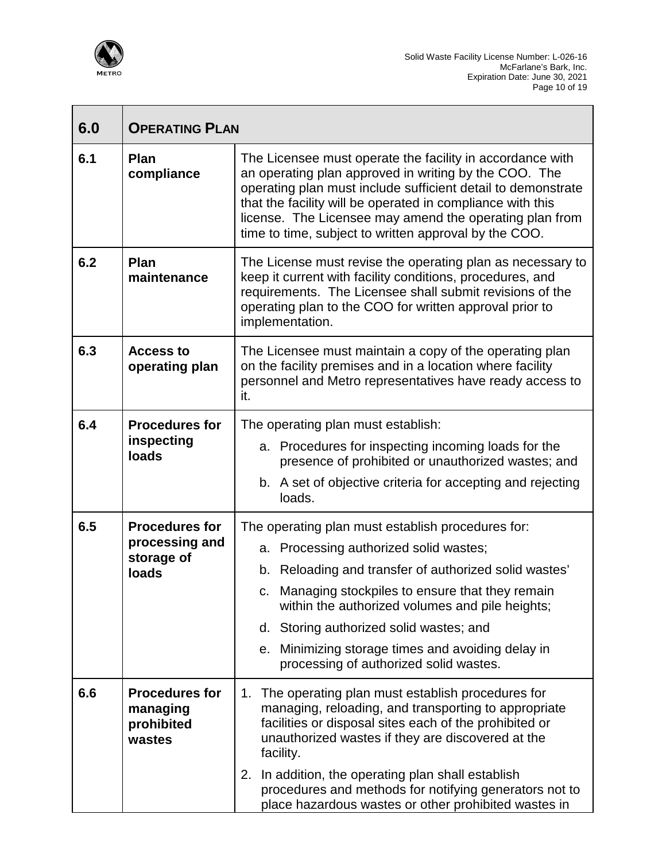

 $\overline{\Gamma}$ 

┓

| 6.0 | <b>OPERATING PLAN</b>                                          |                                                                                                                                                                                                                                                                                                                                                                                                                 |
|-----|----------------------------------------------------------------|-----------------------------------------------------------------------------------------------------------------------------------------------------------------------------------------------------------------------------------------------------------------------------------------------------------------------------------------------------------------------------------------------------------------|
| 6.1 | Plan<br>compliance                                             | The Licensee must operate the facility in accordance with<br>an operating plan approved in writing by the COO. The<br>operating plan must include sufficient detail to demonstrate<br>that the facility will be operated in compliance with this<br>license. The Licensee may amend the operating plan from<br>time to time, subject to written approval by the COO.                                            |
| 6.2 | Plan<br>maintenance                                            | The License must revise the operating plan as necessary to<br>keep it current with facility conditions, procedures, and<br>requirements. The Licensee shall submit revisions of the<br>operating plan to the COO for written approval prior to<br>implementation.                                                                                                                                               |
| 6.3 | <b>Access to</b><br>operating plan                             | The Licensee must maintain a copy of the operating plan<br>on the facility premises and in a location where facility<br>personnel and Metro representatives have ready access to<br>it.                                                                                                                                                                                                                         |
| 6.4 | <b>Procedures for</b><br>inspecting<br>loads                   | The operating plan must establish:<br>a. Procedures for inspecting incoming loads for the<br>presence of prohibited or unauthorized wastes; and<br>b. A set of objective criteria for accepting and rejecting<br>loads.                                                                                                                                                                                         |
| 6.5 | <b>Procedures for</b><br>processing and<br>storage of<br>loads | The operating plan must establish procedures for:<br>a. Processing authorized solid wastes;<br>b. Reloading and transfer of authorized solid wastes'<br>Managing stockpiles to ensure that they remain<br>C.<br>within the authorized volumes and pile heights;<br>d. Storing authorized solid wastes; and<br>e. Minimizing storage times and avoiding delay in<br>processing of authorized solid wastes.       |
| 6.6 | <b>Procedures for</b><br>managing<br>prohibited<br>wastes      | 1. The operating plan must establish procedures for<br>managing, reloading, and transporting to appropriate<br>facilities or disposal sites each of the prohibited or<br>unauthorized wastes if they are discovered at the<br>facility.<br>2. In addition, the operating plan shall establish<br>procedures and methods for notifying generators not to<br>place hazardous wastes or other prohibited wastes in |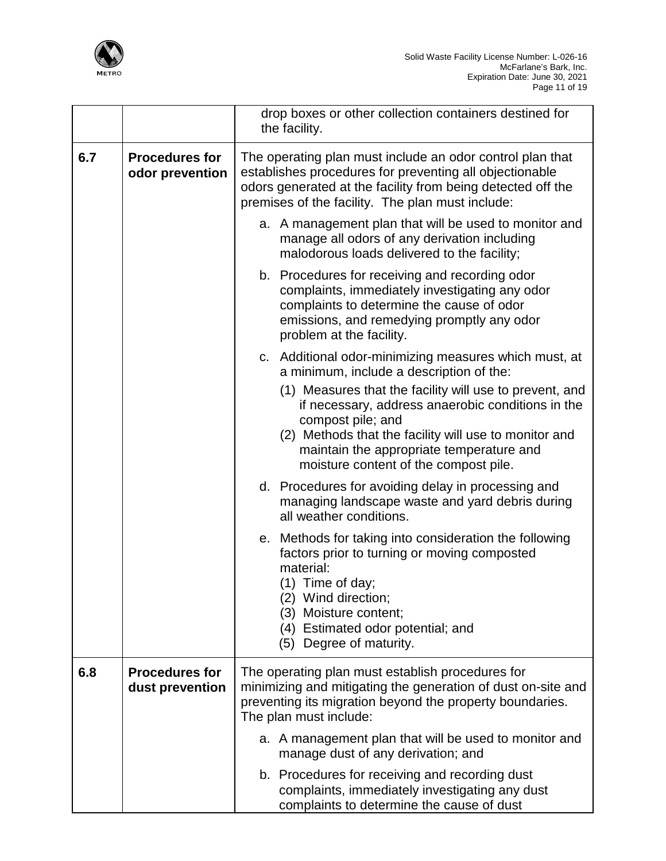

|     |                                          | drop boxes or other collection containers destined for<br>the facility.                                                                                                                                                                                                                                                                                                              |
|-----|------------------------------------------|--------------------------------------------------------------------------------------------------------------------------------------------------------------------------------------------------------------------------------------------------------------------------------------------------------------------------------------------------------------------------------------|
| 6.7 | <b>Procedures for</b><br>odor prevention | The operating plan must include an odor control plan that<br>establishes procedures for preventing all objectionable<br>odors generated at the facility from being detected off the<br>premises of the facility. The plan must include:                                                                                                                                              |
|     |                                          | a. A management plan that will be used to monitor and<br>manage all odors of any derivation including<br>malodorous loads delivered to the facility;                                                                                                                                                                                                                                 |
|     |                                          | b. Procedures for receiving and recording odor<br>complaints, immediately investigating any odor<br>complaints to determine the cause of odor<br>emissions, and remedying promptly any odor<br>problem at the facility.                                                                                                                                                              |
|     |                                          | c. Additional odor-minimizing measures which must, at<br>a minimum, include a description of the:<br>(1) Measures that the facility will use to prevent, and<br>if necessary, address anaerobic conditions in the<br>compost pile; and<br>(2) Methods that the facility will use to monitor and<br>maintain the appropriate temperature and<br>moisture content of the compost pile. |
|     |                                          | d. Procedures for avoiding delay in processing and<br>managing landscape waste and yard debris during<br>all weather conditions.                                                                                                                                                                                                                                                     |
|     |                                          | e. Methods for taking into consideration the following<br>factors prior to turning or moving composted<br>material:<br>$(1)$ Time of day;<br>(2) Wind direction;<br>(3) Moisture content;<br>(4) Estimated odor potential; and<br>(5) Degree of maturity.                                                                                                                            |
| 6.8 | <b>Procedures for</b><br>dust prevention | The operating plan must establish procedures for<br>minimizing and mitigating the generation of dust on-site and<br>preventing its migration beyond the property boundaries.<br>The plan must include:                                                                                                                                                                               |
|     |                                          | a. A management plan that will be used to monitor and<br>manage dust of any derivation; and                                                                                                                                                                                                                                                                                          |
|     |                                          | b. Procedures for receiving and recording dust<br>complaints, immediately investigating any dust<br>complaints to determine the cause of dust                                                                                                                                                                                                                                        |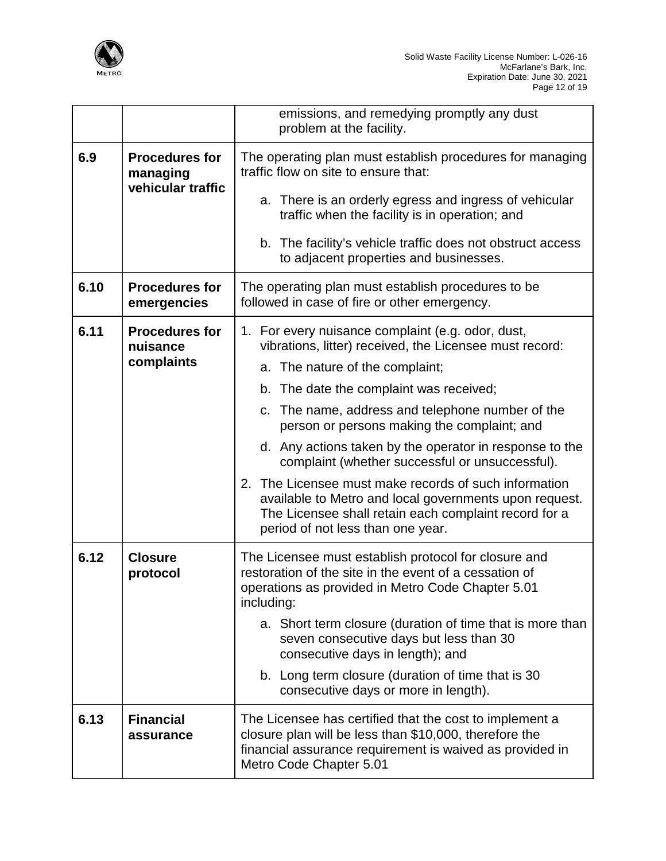

|      |                                      | emissions, and remedying promptly any dust<br>problem at the facility.                                                                                                                                        |
|------|--------------------------------------|---------------------------------------------------------------------------------------------------------------------------------------------------------------------------------------------------------------|
| 6.9  | <b>Procedures for</b><br>managing    | The operating plan must establish procedures for managing<br>traffic flow on site to ensure that:                                                                                                             |
|      | vehicular traffic                    | a. There is an orderly egress and ingress of vehicular<br>traffic when the facility is in operation; and                                                                                                      |
|      |                                      | b. The facility's vehicle traffic does not obstruct access<br>to adjacent properties and businesses.                                                                                                          |
| 6.10 | <b>Procedures for</b><br>emergencies | The operating plan must establish procedures to be<br>followed in case of fire or other emergency.                                                                                                            |
| 6.11 | <b>Procedures for</b><br>nuisance    | 1. For every nuisance complaint (e.g. odor, dust,<br>vibrations, litter) received, the Licensee must record:                                                                                                  |
|      | complaints                           | a. The nature of the complaint;                                                                                                                                                                               |
|      |                                      | b. The date the complaint was received;                                                                                                                                                                       |
|      |                                      | c. The name, address and telephone number of the<br>person or persons making the complaint; and                                                                                                               |
|      |                                      | d. Any actions taken by the operator in response to the<br>complaint (whether successful or unsuccessful).                                                                                                    |
|      |                                      | 2. The Licensee must make records of such information<br>available to Metro and local governments upon request.<br>The Licensee shall retain each complaint record for a<br>period of not less than one year. |
| 6.12 | <b>Closure</b><br>protocol           | The Licensee must establish protocol for closure and<br>restoration of the site in the event of a cessation of<br>operations as provided in Metro Code Chapter 5.01<br>including:                             |
|      |                                      | a. Short term closure (duration of time that is more than<br>seven consecutive days but less than 30<br>consecutive days in length); and                                                                      |
|      |                                      | b. Long term closure (duration of time that is 30<br>consecutive days or more in length).                                                                                                                     |
| 6.13 | <b>Financial</b><br>assurance        | The Licensee has certified that the cost to implement a<br>closure plan will be less than \$10,000, therefore the<br>financial assurance requirement is waived as provided in<br>Metro Code Chapter 5.01      |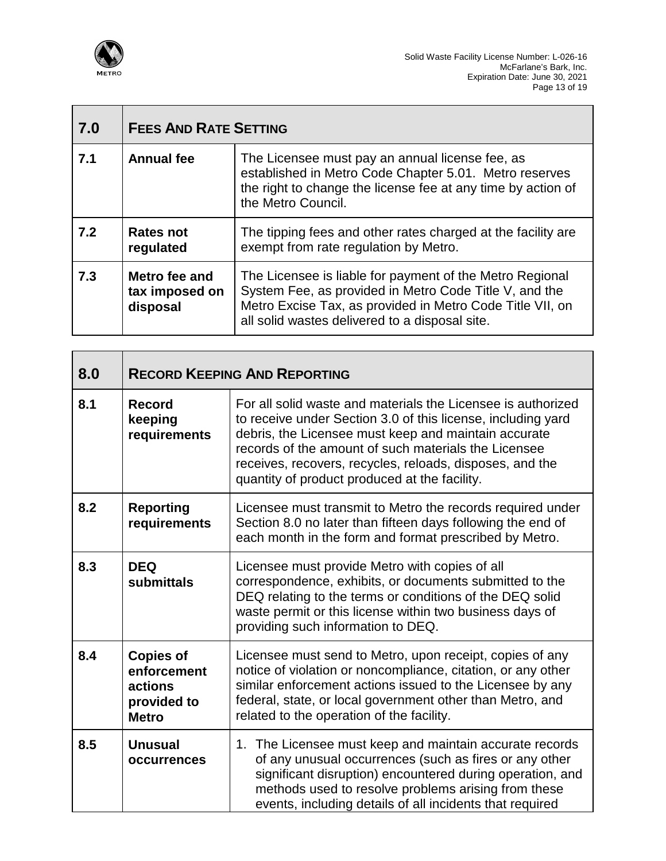

| 7.0 | <b>FEES AND RATE SETTING</b>                |                                                                                                                                                                                                                                   |
|-----|---------------------------------------------|-----------------------------------------------------------------------------------------------------------------------------------------------------------------------------------------------------------------------------------|
| 7.1 | <b>Annual fee</b>                           | The Licensee must pay an annual license fee, as<br>established in Metro Code Chapter 5.01. Metro reserves<br>the right to change the license fee at any time by action of<br>the Metro Council.                                   |
| 7.2 | Rates not<br>regulated                      | The tipping fees and other rates charged at the facility are<br>exempt from rate regulation by Metro.                                                                                                                             |
| 7.3 | Metro fee and<br>tax imposed on<br>disposal | The Licensee is liable for payment of the Metro Regional<br>System Fee, as provided in Metro Code Title V, and the<br>Metro Excise Tax, as provided in Metro Code Title VII, on<br>all solid wastes delivered to a disposal site. |

| 8.0 |                                                                           | <b>RECORD KEEPING AND REPORTING</b>                                                                                                                                                                                                                                                                                                                       |
|-----|---------------------------------------------------------------------------|-----------------------------------------------------------------------------------------------------------------------------------------------------------------------------------------------------------------------------------------------------------------------------------------------------------------------------------------------------------|
| 8.1 | <b>Record</b><br>keeping<br>requirements                                  | For all solid waste and materials the Licensee is authorized<br>to receive under Section 3.0 of this license, including yard<br>debris, the Licensee must keep and maintain accurate<br>records of the amount of such materials the Licensee<br>receives, recovers, recycles, reloads, disposes, and the<br>quantity of product produced at the facility. |
| 8.2 | <b>Reporting</b><br>requirements                                          | Licensee must transmit to Metro the records required under<br>Section 8.0 no later than fifteen days following the end of<br>each month in the form and format prescribed by Metro.                                                                                                                                                                       |
| 8.3 | <b>DEQ</b><br>submittals                                                  | Licensee must provide Metro with copies of all<br>correspondence, exhibits, or documents submitted to the<br>DEQ relating to the terms or conditions of the DEQ solid<br>waste permit or this license within two business days of<br>providing such information to DEQ.                                                                                   |
| 8.4 | <b>Copies of</b><br>enforcement<br>actions<br>provided to<br><b>Metro</b> | Licensee must send to Metro, upon receipt, copies of any<br>notice of violation or noncompliance, citation, or any other<br>similar enforcement actions issued to the Licensee by any<br>federal, state, or local government other than Metro, and<br>related to the operation of the facility.                                                           |
| 8.5 | <b>Unusual</b><br>occurrences                                             | 1. The Licensee must keep and maintain accurate records<br>of any unusual occurrences (such as fires or any other<br>significant disruption) encountered during operation, and<br>methods used to resolve problems arising from these<br>events, including details of all incidents that required                                                         |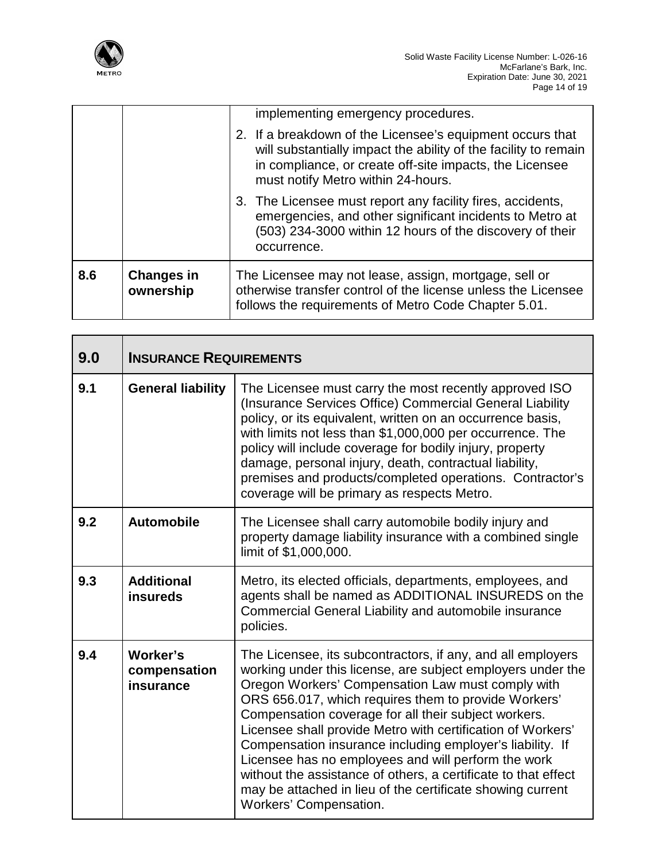

|     |                                | implementing emergency procedures.                                                                                                                                                                                            |
|-----|--------------------------------|-------------------------------------------------------------------------------------------------------------------------------------------------------------------------------------------------------------------------------|
|     |                                | 2. If a breakdown of the Licensee's equipment occurs that<br>will substantially impact the ability of the facility to remain<br>in compliance, or create off-site impacts, the Licensee<br>must notify Metro within 24-hours. |
|     |                                | 3. The Licensee must report any facility fires, accidents,<br>emergencies, and other significant incidents to Metro at<br>(503) 234-3000 within 12 hours of the discovery of their<br>occurrence.                             |
| 8.6 | <b>Changes in</b><br>ownership | The Licensee may not lease, assign, mortgage, sell or<br>otherwise transfer control of the license unless the Licensee<br>follows the requirements of Metro Code Chapter 5.01.                                                |

| 9.0 | <b>INSURANCE REQUIREMENTS</b>         |                                                                                                                                                                                                                                                                                                                                                                                                                                                                                                                                                                                                                                              |
|-----|---------------------------------------|----------------------------------------------------------------------------------------------------------------------------------------------------------------------------------------------------------------------------------------------------------------------------------------------------------------------------------------------------------------------------------------------------------------------------------------------------------------------------------------------------------------------------------------------------------------------------------------------------------------------------------------------|
| 9.1 | <b>General liability</b>              | The Licensee must carry the most recently approved ISO<br>(Insurance Services Office) Commercial General Liability<br>policy, or its equivalent, written on an occurrence basis,<br>with limits not less than \$1,000,000 per occurrence. The<br>policy will include coverage for bodily injury, property<br>damage, personal injury, death, contractual liability,<br>premises and products/completed operations. Contractor's<br>coverage will be primary as respects Metro.                                                                                                                                                               |
| 9.2 | <b>Automobile</b>                     | The Licensee shall carry automobile bodily injury and<br>property damage liability insurance with a combined single<br>limit of \$1,000,000.                                                                                                                                                                                                                                                                                                                                                                                                                                                                                                 |
| 9.3 | <b>Additional</b><br>insureds         | Metro, its elected officials, departments, employees, and<br>agents shall be named as ADDITIONAL INSUREDS on the<br>Commercial General Liability and automobile insurance<br>policies.                                                                                                                                                                                                                                                                                                                                                                                                                                                       |
| 9.4 | Worker's<br>compensation<br>insurance | The Licensee, its subcontractors, if any, and all employers<br>working under this license, are subject employers under the<br>Oregon Workers' Compensation Law must comply with<br>ORS 656.017, which requires them to provide Workers'<br>Compensation coverage for all their subject workers.<br>Licensee shall provide Metro with certification of Workers'<br>Compensation insurance including employer's liability. If<br>Licensee has no employees and will perform the work<br>without the assistance of others, a certificate to that effect<br>may be attached in lieu of the certificate showing current<br>Workers' Compensation. |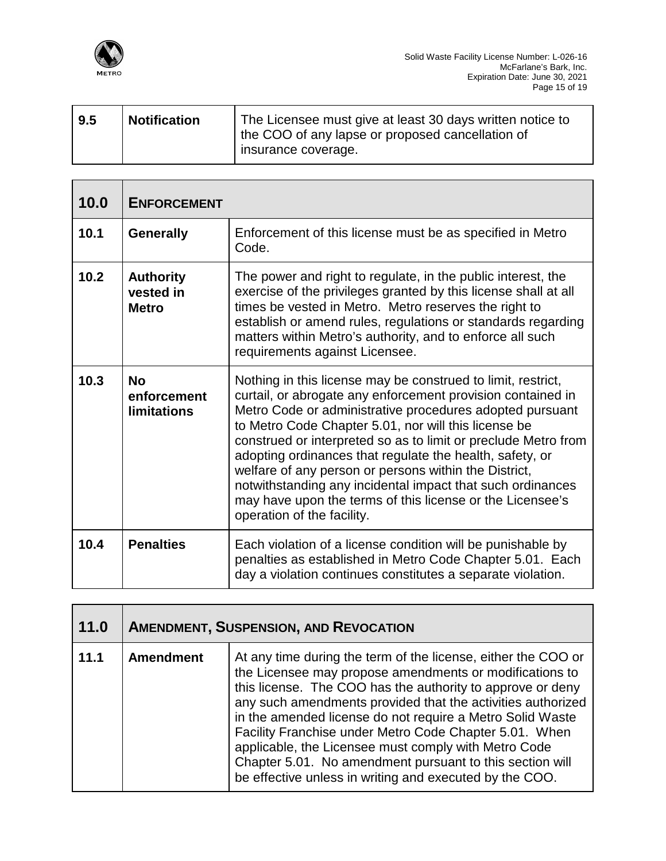

| 9.5 | <b>Notification</b> | The Licensee must give at least 30 days written notice to<br>the COO of any lapse or proposed cancellation of<br>insurance coverage. |
|-----|---------------------|--------------------------------------------------------------------------------------------------------------------------------------|
|     |                     |                                                                                                                                      |

| 10.0 | <b>ENFORCEMENT</b>                             |                                                                                                                                                                                                                                                                                                                                                                                                                                                                                                                                                                                                 |
|------|------------------------------------------------|-------------------------------------------------------------------------------------------------------------------------------------------------------------------------------------------------------------------------------------------------------------------------------------------------------------------------------------------------------------------------------------------------------------------------------------------------------------------------------------------------------------------------------------------------------------------------------------------------|
| 10.1 | <b>Generally</b>                               | Enforcement of this license must be as specified in Metro<br>Code.                                                                                                                                                                                                                                                                                                                                                                                                                                                                                                                              |
| 10.2 | <b>Authority</b><br>vested in<br><b>Metro</b>  | The power and right to regulate, in the public interest, the<br>exercise of the privileges granted by this license shall at all<br>times be vested in Metro. Metro reserves the right to<br>establish or amend rules, regulations or standards regarding<br>matters within Metro's authority, and to enforce all such<br>requirements against Licensee.                                                                                                                                                                                                                                         |
| 10.3 | <b>No</b><br>enforcement<br><b>limitations</b> | Nothing in this license may be construed to limit, restrict,<br>curtail, or abrogate any enforcement provision contained in<br>Metro Code or administrative procedures adopted pursuant<br>to Metro Code Chapter 5.01, nor will this license be<br>construed or interpreted so as to limit or preclude Metro from<br>adopting ordinances that regulate the health, safety, or<br>welfare of any person or persons within the District,<br>notwithstanding any incidental impact that such ordinances<br>may have upon the terms of this license or the Licensee's<br>operation of the facility. |
| 10.4 | <b>Penalties</b>                               | Each violation of a license condition will be punishable by<br>penalties as established in Metro Code Chapter 5.01. Each<br>day a violation continues constitutes a separate violation.                                                                                                                                                                                                                                                                                                                                                                                                         |

| 11.0 | <b>AMENDMENT, SUSPENSION, AND REVOCATION</b> |                                                                                                                                                                                                                                                                                                                                                                                                                                                                                                                                                             |
|------|----------------------------------------------|-------------------------------------------------------------------------------------------------------------------------------------------------------------------------------------------------------------------------------------------------------------------------------------------------------------------------------------------------------------------------------------------------------------------------------------------------------------------------------------------------------------------------------------------------------------|
| 11.1 | <b>Amendment</b>                             | At any time during the term of the license, either the COO or<br>the Licensee may propose amendments or modifications to<br>this license. The COO has the authority to approve or deny<br>any such amendments provided that the activities authorized<br>in the amended license do not require a Metro Solid Waste<br>Facility Franchise under Metro Code Chapter 5.01. When<br>applicable, the Licensee must comply with Metro Code<br>Chapter 5.01. No amendment pursuant to this section will<br>be effective unless in writing and executed by the COO. |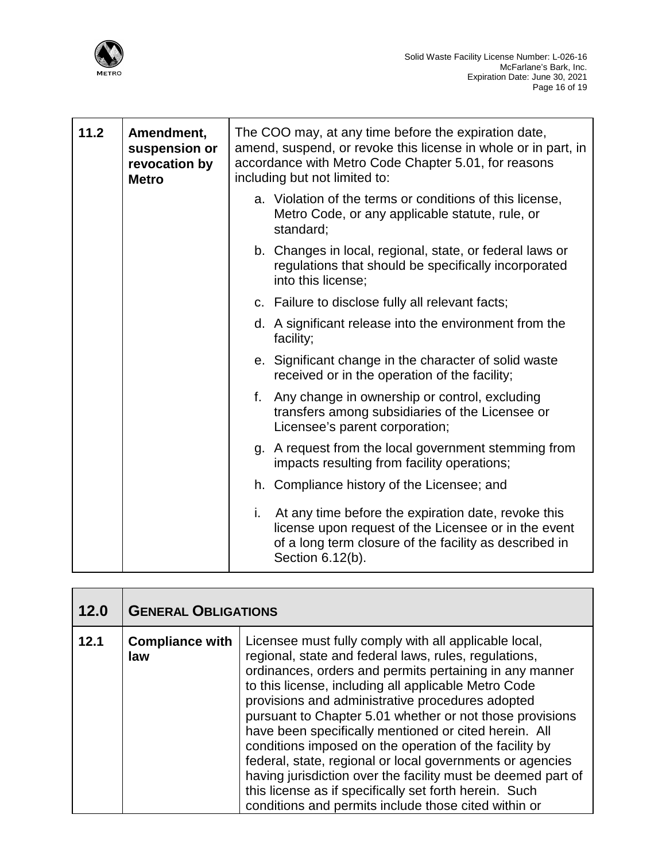

| 11.2 | Amendment,<br>suspension or<br>revocation by<br><b>Metro</b> | The COO may, at any time before the expiration date,<br>amend, suspend, or revoke this license in whole or in part, in<br>accordance with Metro Code Chapter 5.01, for reasons<br>including but not limited to: |
|------|--------------------------------------------------------------|-----------------------------------------------------------------------------------------------------------------------------------------------------------------------------------------------------------------|
|      |                                                              | a. Violation of the terms or conditions of this license,<br>Metro Code, or any applicable statute, rule, or<br>standard;                                                                                        |
|      |                                                              | b. Changes in local, regional, state, or federal laws or<br>regulations that should be specifically incorporated<br>into this license;                                                                          |
|      |                                                              | c. Failure to disclose fully all relevant facts;                                                                                                                                                                |
|      |                                                              | d. A significant release into the environment from the<br>facility;                                                                                                                                             |
|      |                                                              | e. Significant change in the character of solid waste<br>received or in the operation of the facility;                                                                                                          |
|      |                                                              | f. Any change in ownership or control, excluding<br>transfers among subsidiaries of the Licensee or<br>Licensee's parent corporation;                                                                           |
|      |                                                              | g. A request from the local government stemming from<br>impacts resulting from facility operations;                                                                                                             |
|      |                                                              | h. Compliance history of the Licensee; and                                                                                                                                                                      |
|      |                                                              | i. At any time before the expiration date, revoke this<br>license upon request of the Licensee or in the event<br>of a long term closure of the facility as described in<br>Section 6.12(b).                    |

| 12.0 | <b>GENERAL OBLIGATIONS</b>    |                                                                                                                                                                                                                                                                                                                                                                                                                                                                                                                                                                                                                                                                                                                     |
|------|-------------------------------|---------------------------------------------------------------------------------------------------------------------------------------------------------------------------------------------------------------------------------------------------------------------------------------------------------------------------------------------------------------------------------------------------------------------------------------------------------------------------------------------------------------------------------------------------------------------------------------------------------------------------------------------------------------------------------------------------------------------|
| 12.1 | <b>Compliance with</b><br>law | Licensee must fully comply with all applicable local,<br>regional, state and federal laws, rules, regulations,<br>ordinances, orders and permits pertaining in any manner<br>to this license, including all applicable Metro Code<br>provisions and administrative procedures adopted<br>pursuant to Chapter 5.01 whether or not those provisions<br>have been specifically mentioned or cited herein. All<br>conditions imposed on the operation of the facility by<br>federal, state, regional or local governments or agencies<br>having jurisdiction over the facility must be deemed part of<br>this license as if specifically set forth herein. Such<br>conditions and permits include those cited within or |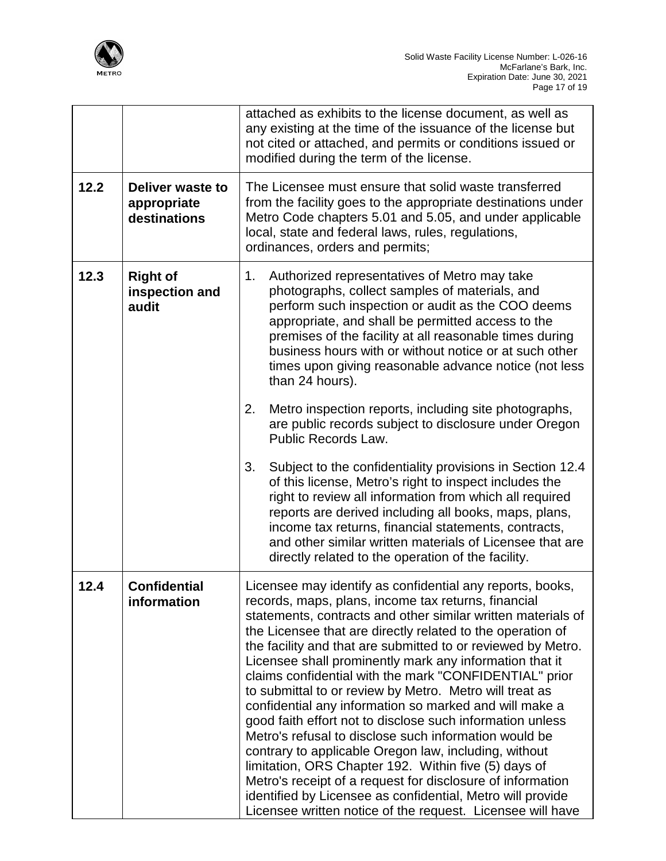

|      |                                                 | attached as exhibits to the license document, as well as<br>any existing at the time of the issuance of the license but<br>not cited or attached, and permits or conditions issued or<br>modified during the term of the license.                                                                                                                                                                                                                                                                                                                                                                                                                                                                                                                                                                                                                                                                                                                                                                |
|------|-------------------------------------------------|--------------------------------------------------------------------------------------------------------------------------------------------------------------------------------------------------------------------------------------------------------------------------------------------------------------------------------------------------------------------------------------------------------------------------------------------------------------------------------------------------------------------------------------------------------------------------------------------------------------------------------------------------------------------------------------------------------------------------------------------------------------------------------------------------------------------------------------------------------------------------------------------------------------------------------------------------------------------------------------------------|
| 12.2 | Deliver waste to<br>appropriate<br>destinations | The Licensee must ensure that solid waste transferred<br>from the facility goes to the appropriate destinations under<br>Metro Code chapters 5.01 and 5.05, and under applicable<br>local, state and federal laws, rules, regulations,<br>ordinances, orders and permits;                                                                                                                                                                                                                                                                                                                                                                                                                                                                                                                                                                                                                                                                                                                        |
| 12.3 | <b>Right of</b><br>inspection and<br>audit      | 1.<br>Authorized representatives of Metro may take<br>photographs, collect samples of materials, and<br>perform such inspection or audit as the COO deems<br>appropriate, and shall be permitted access to the<br>premises of the facility at all reasonable times during<br>business hours with or without notice or at such other<br>times upon giving reasonable advance notice (not less<br>than 24 hours).<br>2.<br>Metro inspection reports, including site photographs,<br>are public records subject to disclosure under Oregon<br><b>Public Records Law.</b><br>3.<br>Subject to the confidentiality provisions in Section 12.4<br>of this license, Metro's right to inspect includes the<br>right to review all information from which all required<br>reports are derived including all books, maps, plans,<br>income tax returns, financial statements, contracts,<br>and other similar written materials of Licensee that are<br>directly related to the operation of the facility. |
| 12.4 | <b>Confidential</b><br>information              | Licensee may identify as confidential any reports, books,<br>records, maps, plans, income tax returns, financial<br>statements, contracts and other similar written materials of<br>the Licensee that are directly related to the operation of<br>the facility and that are submitted to or reviewed by Metro.<br>Licensee shall prominently mark any information that it<br>claims confidential with the mark "CONFIDENTIAL" prior<br>to submittal to or review by Metro. Metro will treat as<br>confidential any information so marked and will make a<br>good faith effort not to disclose such information unless<br>Metro's refusal to disclose such information would be<br>contrary to applicable Oregon law, including, without<br>limitation, ORS Chapter 192. Within five (5) days of<br>Metro's receipt of a request for disclosure of information<br>identified by Licensee as confidential, Metro will provide<br>Licensee written notice of the request. Licensee will have        |